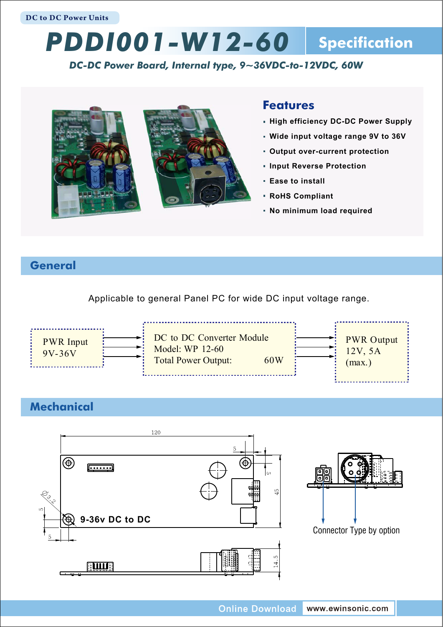# *PDDI001-W12-60* **Specification**

### *DC-DC Power Board, Internal type, 9~36VDC-to-12VDC, 60W*



## **Features**

- **High efficiency DC-DC Power Supply**
- **Wide input voltage range 9V to 36V**
- **Output over-current protection**
- **Input Reverse Protection**
- **Ease to install**
- **RoHS Compliant**
- **No minimum load required**

# **General**

Applicable to general Panel PC for wide DC input voltage range.



# **Mechanical**